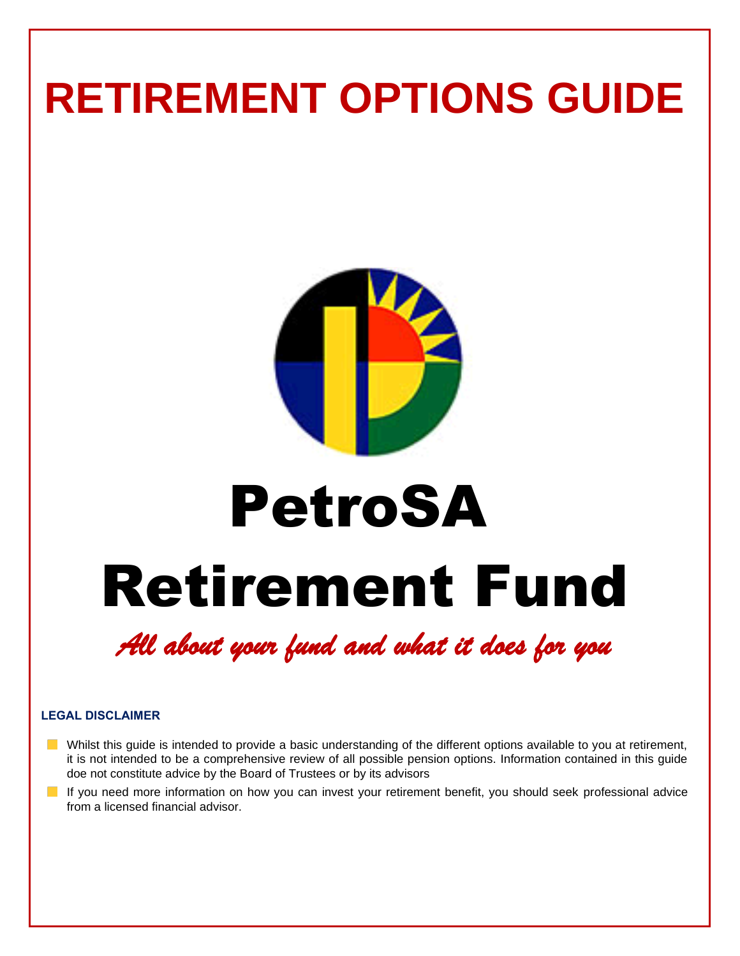## **RETIREMENT OPTIONS GUIDE**



## PetroSA

# Retirement Fund

## *All about your fund and what it does for you*

#### **LEGAL DISCLAIMER**

- Whilst this quide is intended to provide a basic understanding of the different options available to you at retirement, it is not intended to be a comprehensive review of all possible pension options. Information contained in this guide doe not constitute advice by the Board of Trustees or by its advisors
- If you need more information on how you can invest your retirement benefit, you should seek professional advice from a licensed financial advisor.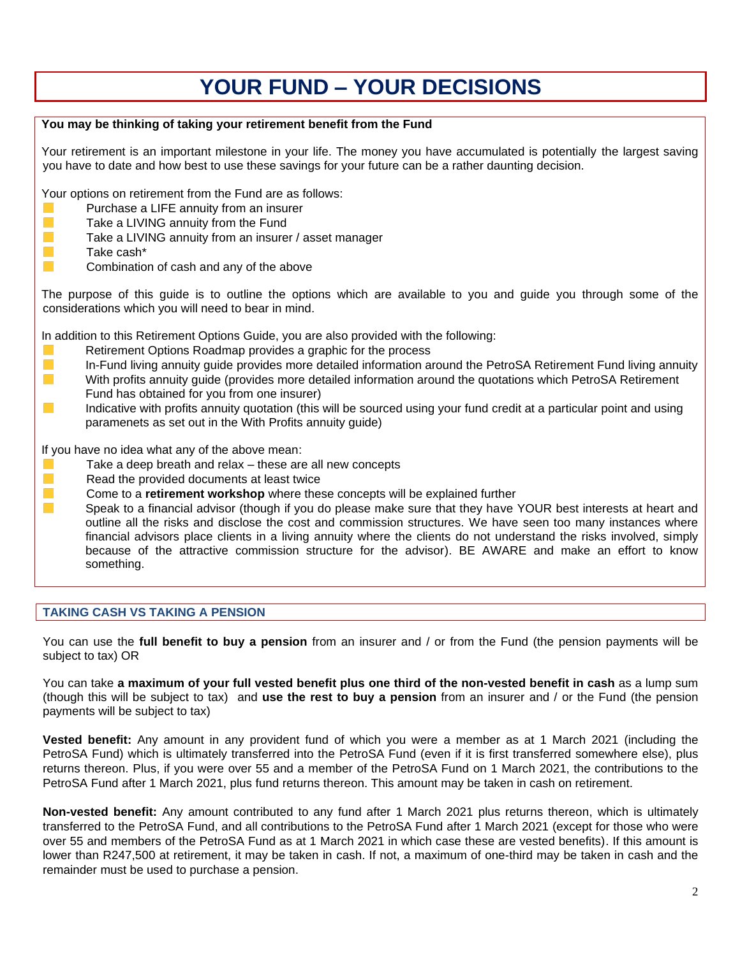### **YOUR FUND – YOUR DECISIONS**

| You may be thinking of taking your retirement benefit from the Fund                                                                                                                                                                                                                                                                                                                                                                                                                                                                                                                                                                                                                                                                                                                 |
|-------------------------------------------------------------------------------------------------------------------------------------------------------------------------------------------------------------------------------------------------------------------------------------------------------------------------------------------------------------------------------------------------------------------------------------------------------------------------------------------------------------------------------------------------------------------------------------------------------------------------------------------------------------------------------------------------------------------------------------------------------------------------------------|
| Your retirement is an important milestone in your life. The money you have accumulated is potentially the largest saving<br>you have to date and how best to use these savings for your future can be a rather daunting decision.                                                                                                                                                                                                                                                                                                                                                                                                                                                                                                                                                   |
| Your options on retirement from the Fund are as follows:<br>Purchase a LIFE annuity from an insurer<br>$\mathcal{L}_{\mathcal{A}}$<br>Take a LIVING annuity from the Fund<br><b>T</b><br>Take a LIVING annuity from an insurer / asset manager<br>n.<br>Take cash*<br><b>The Second</b><br>Combination of cash and any of the above                                                                                                                                                                                                                                                                                                                                                                                                                                                 |
| The purpose of this guide is to outline the options which are available to you and guide you through some of the<br>considerations which you will need to bear in mind.                                                                                                                                                                                                                                                                                                                                                                                                                                                                                                                                                                                                             |
| In addition to this Retirement Options Guide, you are also provided with the following:<br>Retirement Options Roadmap provides a graphic for the process<br><b>T</b><br>In-Fund living annuity guide provides more detailed information around the PetroSA Retirement Fund living annuity<br>$\mathcal{C}^{\mathcal{A}}$<br>With profits annuity guide (provides more detailed information around the quotations which PetroSA Retirement<br>Fund has obtained for you from one insurer)<br>Indicative with profits annuity quotation (this will be sourced using your fund credit at a particular point and using<br>$\sim$<br>paramenets as set out in the With Profits annuity guide)                                                                                            |
| If you have no idea what any of the above mean:<br>Take a deep breath and relax - these are all new concepts<br>$\mathcal{L}_{\mathcal{A}}$<br>Read the provided documents at least twice<br>n.<br>Come to a retirement workshop where these concepts will be explained further<br><b>The State</b><br>Speak to a financial advisor (though if you do please make sure that they have YOUR best interests at heart and<br>outline all the risks and disclose the cost and commission structures. We have seen too many instances where<br>financial advisors place clients in a living annuity where the clients do not understand the risks involved, simply<br>because of the attractive commission structure for the advisor). BE AWARE and make an effort to know<br>something. |

#### **TAKING CASH VS TAKING A PENSION**

You can use the **full benefit to buy a pension** from an insurer and / or from the Fund (the pension payments will be subject to tax) OR

You can take **a maximum of your full vested benefit plus one third of the non-vested benefit in cash** as a lump sum (though this will be subject to tax) and **use the rest to buy a pension** from an insurer and / or the Fund (the pension payments will be subject to tax)

**Vested benefit:** Any amount in any provident fund of which you were a member as at 1 March 2021 (including the PetroSA Fund) which is ultimately transferred into the PetroSA Fund (even if it is first transferred somewhere else), plus returns thereon. Plus, if you were over 55 and a member of the PetroSA Fund on 1 March 2021, the contributions to the PetroSA Fund after 1 March 2021, plus fund returns thereon. This amount may be taken in cash on retirement.

**Non-vested benefit:** Any amount contributed to any fund after 1 March 2021 plus returns thereon, which is ultimately transferred to the PetroSA Fund, and all contributions to the PetroSA Fund after 1 March 2021 (except for those who were over 55 and members of the PetroSA Fund as at 1 March 2021 in which case these are vested benefits). If this amount is lower than R247,500 at retirement, it may be taken in cash. If not, a maximum of one-third may be taken in cash and the remainder must be used to purchase a pension.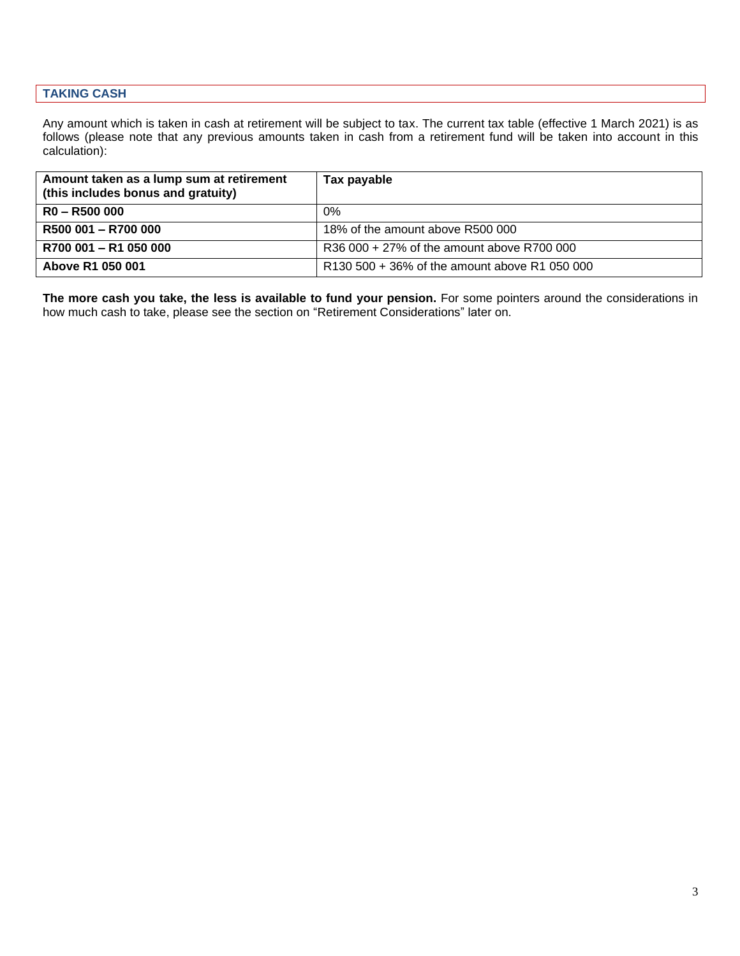#### **TAKING CASH**

Any amount which is taken in cash at retirement will be subject to tax. The current tax table (effective 1 March 2021) is as follows (please note that any previous amounts taken in cash from a retirement fund will be taken into account in this calculation):

| Amount taken as a lump sum at retirement<br>(this includes bonus and gratuity) | Tax payable                                   |
|--------------------------------------------------------------------------------|-----------------------------------------------|
| $RO - R500000$                                                                 | 0%                                            |
| R500 001 - R700 000                                                            | 18% of the amount above R500 000              |
| R700 001 - R1 050 000                                                          | R36 000 + 27% of the amount above R700 000    |
| Above R1 050 001                                                               | R130 500 + 36% of the amount above R1 050 000 |

**The more cash you take, the less is available to fund your pension.** For some pointers around the considerations in how much cash to take, please see the section on "Retirement Considerations" later on.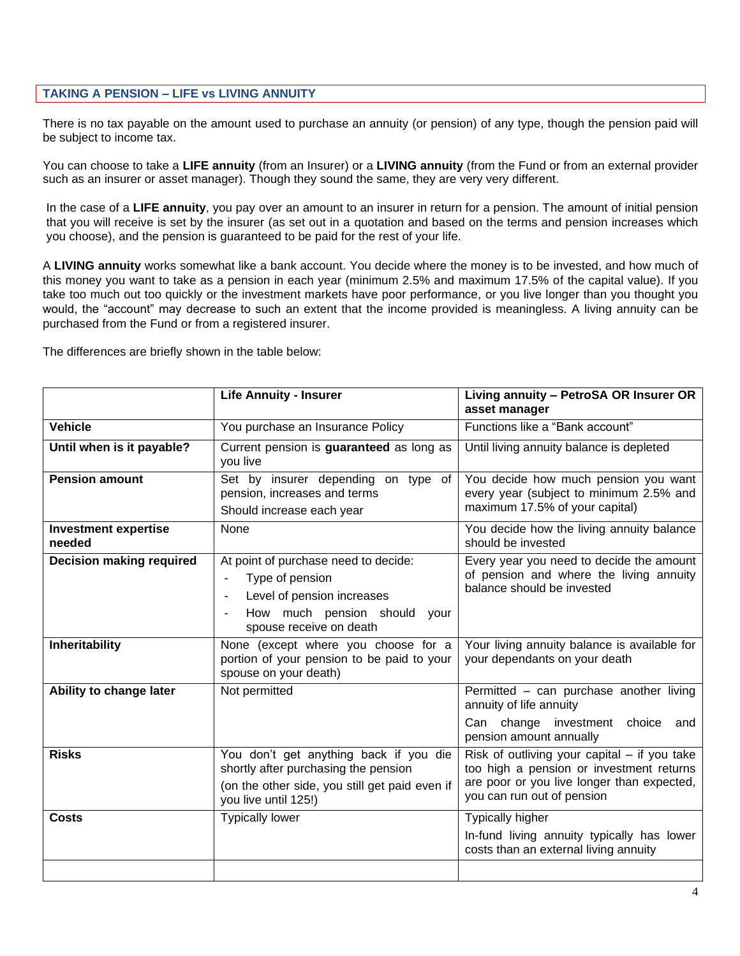#### **TAKING A PENSION – LIFE vs LIVING ANNUITY**

There is no tax payable on the amount used to purchase an annuity (or pension) of any type, though the pension paid will be subject to income tax.

You can choose to take a **LIFE annuity** (from an Insurer) or a **LIVING annuity** (from the Fund or from an external provider such as an insurer or asset manager). Though they sound the same, they are very very different.

In the case of a **LIFE annuity**, you pay over an amount to an insurer in return for a pension. The amount of initial pension that you will receive is set by the insurer (as set out in a quotation and based on the terms and pension increases which you choose), and the pension is guaranteed to be paid for the rest of your life.

A **LIVING annuity** works somewhat like a bank account. You decide where the money is to be invested, and how much of this money you want to take as a pension in each year (minimum 2.5% and maximum 17.5% of the capital value). If you take too much out too quickly or the investment markets have poor performance, or you live longer than you thought you would, the "account" may decrease to such an extent that the income provided is meaningless. A living annuity can be purchased from the Fund or from a registered insurer.

The differences are briefly shown in the table below:

|                                       | <b>Life Annuity - Insurer</b>                                                                                                                            | Living annuity - PetroSA OR Insurer OR<br>asset manager                                                                                                                |
|---------------------------------------|----------------------------------------------------------------------------------------------------------------------------------------------------------|------------------------------------------------------------------------------------------------------------------------------------------------------------------------|
| <b>Vehicle</b>                        | You purchase an Insurance Policy                                                                                                                         | Functions like a "Bank account"                                                                                                                                        |
| Until when is it payable?             | Current pension is guaranteed as long as<br>you live                                                                                                     | Until living annuity balance is depleted                                                                                                                               |
| <b>Pension amount</b>                 | Set by insurer depending on type of<br>pension, increases and terms<br>Should increase each year                                                         | You decide how much pension you want<br>every year (subject to minimum 2.5% and<br>maximum 17.5% of your capital)                                                      |
| <b>Investment expertise</b><br>needed | None                                                                                                                                                     | You decide how the living annuity balance<br>should be invested                                                                                                        |
| <b>Decision making required</b>       | At point of purchase need to decide:<br>Type of pension<br>Level of pension increases<br>How much pension should<br>your<br>spouse receive on death      | Every year you need to decide the amount<br>of pension and where the living annuity<br>balance should be invested                                                      |
| Inheritability                        | None (except where you choose for a<br>portion of your pension to be paid to your<br>spouse on your death)                                               | Your living annuity balance is available for<br>your dependants on your death                                                                                          |
| Ability to change later               | Not permitted                                                                                                                                            | Permitted - can purchase another living<br>annuity of life annuity<br>Can change investment choice<br>and<br>pension amount annually                                   |
| <b>Risks</b>                          | You don't get anything back if you die<br>shortly after purchasing the pension<br>(on the other side, you still get paid even if<br>you live until 125!) | Risk of outliving your capital $-$ if you take<br>too high a pension or investment returns<br>are poor or you live longer than expected,<br>you can run out of pension |
| <b>Costs</b>                          | <b>Typically lower</b>                                                                                                                                   | <b>Typically higher</b><br>In-fund living annuity typically has lower<br>costs than an external living annuity                                                         |
|                                       |                                                                                                                                                          |                                                                                                                                                                        |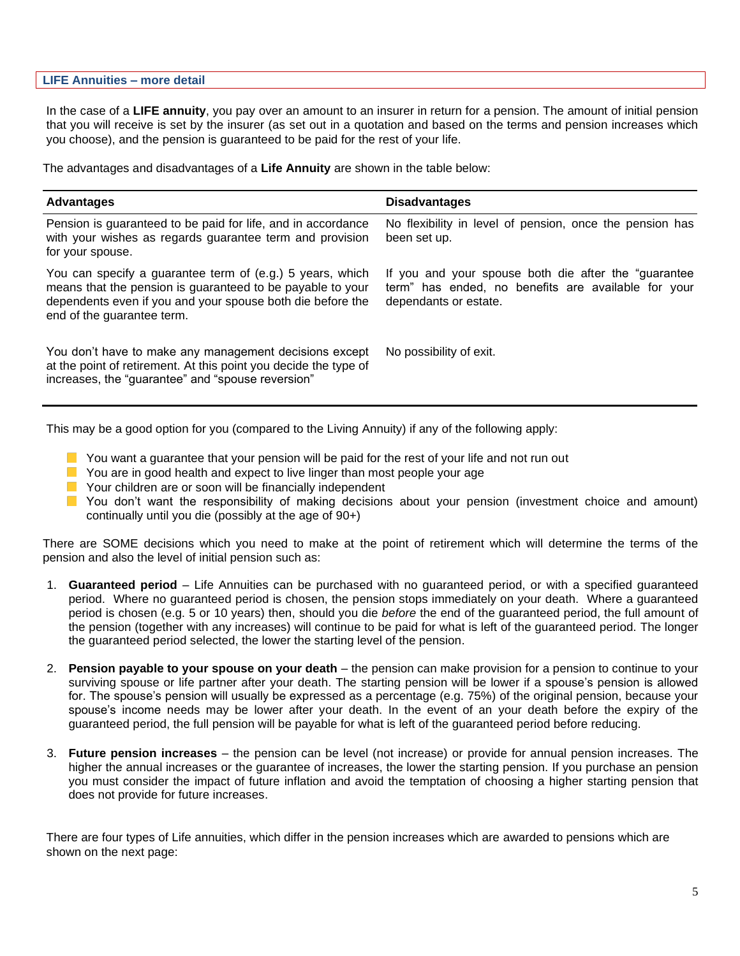#### **LIFE Annuities – more detail**

In the case of a **LIFE annuity**, you pay over an amount to an insurer in return for a pension. The amount of initial pension that you will receive is set by the insurer (as set out in a quotation and based on the terms and pension increases which you choose), and the pension is guaranteed to be paid for the rest of your life.

The advantages and disadvantages of a **Life Annuity** are shown in the table below:

| <b>Advantages</b>                                                                                                                                                                                                   | <b>Disadvantages</b>                                                                                                                  |
|---------------------------------------------------------------------------------------------------------------------------------------------------------------------------------------------------------------------|---------------------------------------------------------------------------------------------------------------------------------------|
| Pension is guaranteed to be paid for life, and in accordance<br>with your wishes as regards guarantee term and provision<br>for your spouse.                                                                        | No flexibility in level of pension, once the pension has<br>been set up.                                                              |
| You can specify a guarantee term of (e.g.) 5 years, which<br>means that the pension is guaranteed to be payable to your<br>dependents even if you and your spouse both die before the<br>end of the guarantee term. | If you and your spouse both die after the "guarantee"<br>term" has ended, no benefits are available for your<br>dependants or estate. |
| You don't have to make any management decisions except<br>at the point of retirement. At this point you decide the type of<br>increases, the "guarantee" and "spouse reversion"                                     | No possibility of exit.                                                                                                               |

This may be a good option for you (compared to the Living Annuity) if any of the following apply:

- $\blacksquare$  You want a guarantee that your pension will be paid for the rest of your life and not run out
- **Nou are in good health and expect to live linger than most people your age**
- **Nour children are or soon will be financially independent**
- You don't want the responsibility of making decisions about your pension (investment choice and amount) continually until you die (possibly at the age of 90+)

There are SOME decisions which you need to make at the point of retirement which will determine the terms of the pension and also the level of initial pension such as:

- 1. **Guaranteed period** Life Annuities can be purchased with no guaranteed period, or with a specified guaranteed period. Where no guaranteed period is chosen, the pension stops immediately on your death. Where a guaranteed period is chosen (e.g. 5 or 10 years) then, should you die *before* the end of the guaranteed period, the full amount of the pension (together with any increases) will continue to be paid for what is left of the guaranteed period. The longer the guaranteed period selected, the lower the starting level of the pension.
- 2. **Pension payable to your spouse on your death** the pension can make provision for a pension to continue to your surviving spouse or life partner after your death. The starting pension will be lower if a spouse's pension is allowed for. The spouse's pension will usually be expressed as a percentage (e.g. 75%) of the original pension, because your spouse's income needs may be lower after your death. In the event of an your death before the expiry of the guaranteed period, the full pension will be payable for what is left of the guaranteed period before reducing.
- 3. **Future pension increases** the pension can be level (not increase) or provide for annual pension increases. The higher the annual increases or the guarantee of increases, the lower the starting pension. If you purchase an pension you must consider the impact of future inflation and avoid the temptation of choosing a higher starting pension that does not provide for future increases.

There are four types of Life annuities, which differ in the pension increases which are awarded to pensions which are shown on the next page: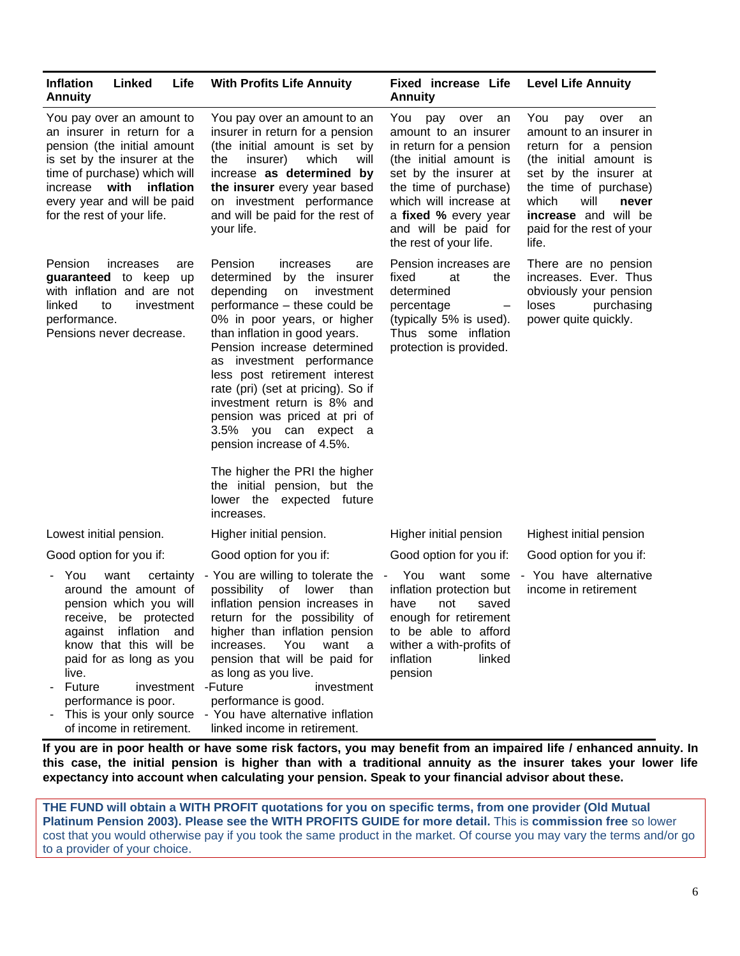| <b>Inflation</b><br>Linked<br>Life<br><b>Annuity</b>                                                                                                                                                                                                        | <b>With Profits Life Annuity</b>                                                                                                                                                                                                                                                                                                                                                                                                                                                                                                                                 | <b>Fixed increase Life</b><br><b>Annuity</b>                                                                                                                                                                                                             | <b>Level Life Annuity</b>                                                                                                                                                                                                                              |
|-------------------------------------------------------------------------------------------------------------------------------------------------------------------------------------------------------------------------------------------------------------|------------------------------------------------------------------------------------------------------------------------------------------------------------------------------------------------------------------------------------------------------------------------------------------------------------------------------------------------------------------------------------------------------------------------------------------------------------------------------------------------------------------------------------------------------------------|----------------------------------------------------------------------------------------------------------------------------------------------------------------------------------------------------------------------------------------------------------|--------------------------------------------------------------------------------------------------------------------------------------------------------------------------------------------------------------------------------------------------------|
| You pay over an amount to<br>an insurer in return for a<br>pension (the initial amount<br>is set by the insurer at the<br>time of purchase) which will<br>increase with<br>inflation<br>every year and will be paid<br>for the rest of your life.           | You pay over an amount to an<br>insurer in return for a pension<br>(the initial amount is set by<br>insurer)<br>which<br>will<br>the<br>increase as determined by<br>the insurer every year based<br>on investment performance<br>and will be paid for the rest of<br>your life.                                                                                                                                                                                                                                                                                 | You<br>pay over<br>an<br>amount to an insurer<br>in return for a pension<br>(the initial amount is<br>set by the insurer at<br>the time of purchase)<br>which will increase at<br>a fixed % every year<br>and will be paid for<br>the rest of your life. | You<br>pay<br>over<br>an<br>amount to an insurer in<br>return for a pension<br>(the initial amount is<br>set by the insurer at<br>the time of purchase)<br>will<br>which<br>never<br><b>increase</b> and will be<br>paid for the rest of your<br>life. |
| Pension<br>increases<br>are<br>guaranteed to keep<br>up<br>with inflation and are not<br>linked<br>to<br>investment<br>performance.<br>Pensions never decrease.                                                                                             | Pension<br>increases<br>are<br>determined<br>by the insurer<br>depending<br>on<br>investment<br>performance - these could be<br>0% in poor years, or higher<br>than inflation in good years.<br>Pension increase determined<br>as investment performance<br>less post retirement interest<br>rate (pri) (set at pricing). So if<br>investment return is 8% and<br>pension was priced at pri of<br>3.5% you can expect a<br>pension increase of 4.5%.<br>The higher the PRI the higher<br>the initial pension, but the<br>lower the expected future<br>increases. | Pension increases are<br>fixed<br>at<br>the<br>determined<br>percentage<br>$\qquad \qquad -$<br>(typically 5% is used).<br>Thus some inflation<br>protection is provided.                                                                                | There are no pension<br>increases. Ever. Thus<br>obviously your pension<br>purchasing<br>loses<br>power quite quickly.                                                                                                                                 |
| Lowest initial pension.                                                                                                                                                                                                                                     | Higher initial pension.                                                                                                                                                                                                                                                                                                                                                                                                                                                                                                                                          | Higher initial pension                                                                                                                                                                                                                                   | Highest initial pension                                                                                                                                                                                                                                |
| Good option for you if:                                                                                                                                                                                                                                     | Good option for you if:                                                                                                                                                                                                                                                                                                                                                                                                                                                                                                                                          | Good option for you if:                                                                                                                                                                                                                                  | Good option for you if:                                                                                                                                                                                                                                |
| - You<br>want<br>certainty<br>around the amount of<br>pension which you will<br>receive, be protected<br>inflation<br>against<br>and<br>know that this will be<br>paid for as long as you<br>live.<br>investment - Future<br>Future<br>performance is poor. | - You are willing to tolerate the<br>lower<br>possibility<br>of<br>than<br>inflation pension increases in<br>return for the possibility of<br>higher than inflation pension<br>You<br>increases.<br>want<br>a<br>pension that will be paid for<br>as long as you live.<br>investment<br>performance is good.<br>This is your only source - You have alternative inflation                                                                                                                                                                                        | - You<br>want<br>some<br>inflation protection but<br>have<br>not<br>saved<br>enough for retirement<br>to be able to afford<br>wither a with-profits of<br>inflation<br>linked<br>pension                                                                 | - You have alternative<br>income in retirement                                                                                                                                                                                                         |

**If you are in poor health or have some risk factors, you may benefit from an impaired life / enhanced annuity. In this case, the initial pension is higher than with a traditional annuity as the insurer takes your lower life expectancy into account when calculating your pension. Speak to your financial advisor about these.**

linked income in retirement.

of income in retirement.

**THE FUND will obtain a WITH PROFIT quotations for you on specific terms, from one provider (Old Mutual Platinum Pension 2003). Please see the WITH PROFITS GUIDE for more detail.** This is **commission free** so lower cost that you would otherwise pay if you took the same product in the market. Of course you may vary the terms and/or go to a provider of your choice.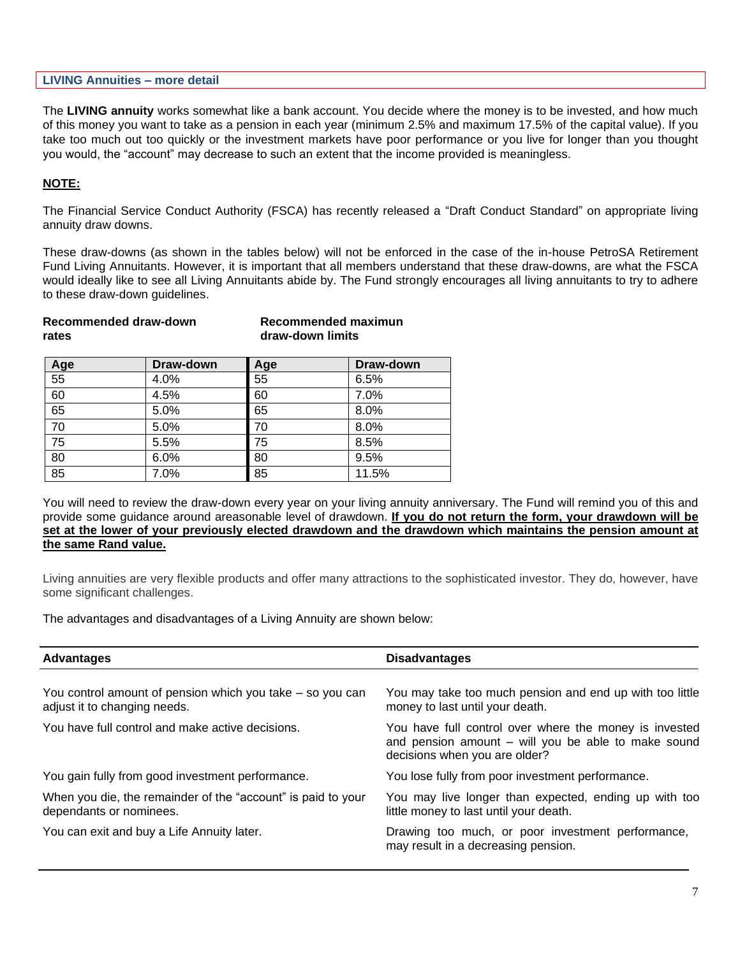|  | <b>LIVING Annuities - more detail</b> |  |  |  |
|--|---------------------------------------|--|--|--|
|--|---------------------------------------|--|--|--|

The **LIVING annuity** works somewhat like a bank account. You decide where the money is to be invested, and how much of this money you want to take as a pension in each year (minimum 2.5% and maximum 17.5% of the capital value). If you take too much out too quickly or the investment markets have poor performance or you live for longer than you thought you would, the "account" may decrease to such an extent that the income provided is meaningless.

#### **NOTE:**

The Financial Service Conduct Authority (FSCA) has recently released a "Draft Conduct Standard" on appropriate living annuity draw downs.

These draw-downs (as shown in the tables below) will not be enforced in the case of the in-house PetroSA Retirement Fund Living Annuitants. However, it is important that all members understand that these draw-downs, are what the FSCA would ideally like to see all Living Annuitants abide by. The Fund strongly encourages all living annuitants to try to adhere to these draw-down guidelines.

| Recommended draw-down | Recommended maximun |
|-----------------------|---------------------|
| rates                 | draw-down limits    |
|                       |                     |

| Age             | Draw-down | Age | Draw-down |
|-----------------|-----------|-----|-----------|
| 55              | 4.0%      | 55  | 6.5%      |
| 60              | 4.5%      | 60  | 7.0%      |
| 65              | 5.0%      | 65  | 8.0%      |
| 70              | 5.0%      | 70  | 8.0%      |
| 75              | 5.5%      | 75  | 8.5%      |
| $\overline{80}$ | 6.0%      | 80  | 9.5%      |
| 85              | 7.0%      | 85  | 11.5%     |

You will need to review the draw-down every year on your living annuity anniversary. The Fund will remind you of this and provide some guidance around areasonable level of drawdown. **If you do not return the form, your drawdown will be set at the lower of your previously elected drawdown and the drawdown which maintains the pension amount at the same Rand value.**

Living annuities are very flexible products and offer many attractions to the sophisticated investor. They do, however, have some significant challenges.

The advantages and disadvantages of a Living Annuity are shown below:

| <b>Advantages</b>                                                                         | <b>Disadvantages</b>                                                                                                                           |
|-------------------------------------------------------------------------------------------|------------------------------------------------------------------------------------------------------------------------------------------------|
|                                                                                           |                                                                                                                                                |
| You control amount of pension which you take – so you can<br>adjust it to changing needs. | You may take too much pension and end up with too little<br>money to last until your death.                                                    |
| You have full control and make active decisions.                                          | You have full control over where the money is invested<br>and pension amount - will you be able to make sound<br>decisions when you are older? |
| You gain fully from good investment performance.                                          | You lose fully from poor investment performance.                                                                                               |
| When you die, the remainder of the "account" is paid to your<br>dependants or nominees.   | You may live longer than expected, ending up with too<br>little money to last until your death.                                                |
| You can exit and buy a Life Annuity later.                                                | Drawing too much, or poor investment performance,<br>may result in a decreasing pension.                                                       |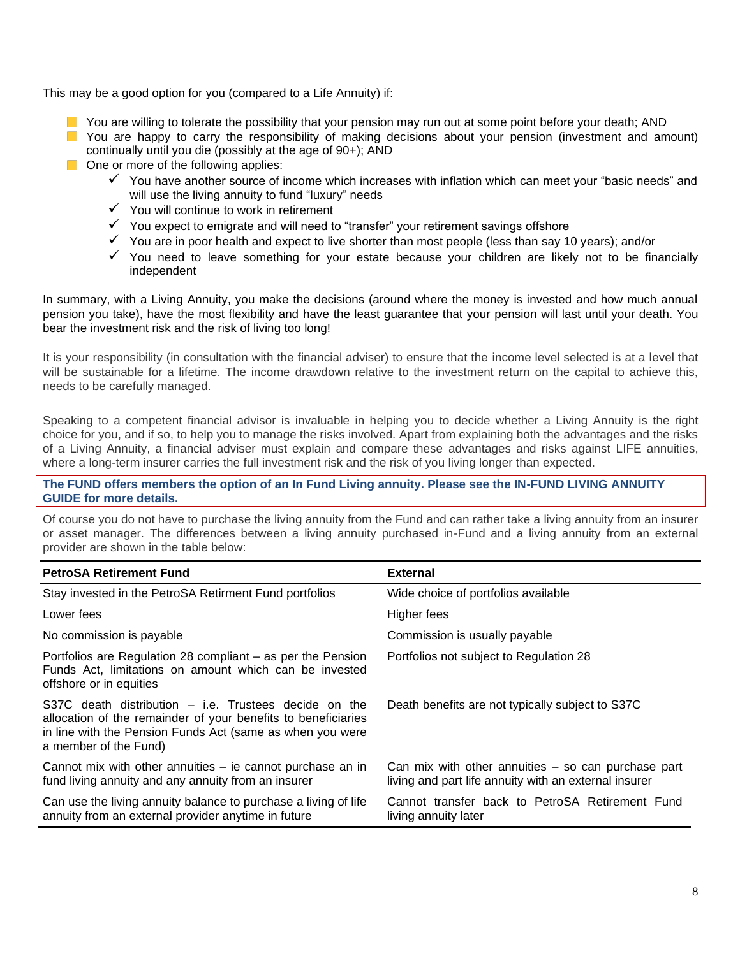This may be a good option for you (compared to a Life Annuity) if:

- $\blacksquare$  You are willing to tolerate the possibility that your pension may run out at some point before your death; AND You are happy to carry the responsibility of making decisions about your pension (investment and amount) continually until you die (possibly at the age of 90+); AND
- **One or more of the following applies:** 
	- ✓ You have another source of income which increases with inflation which can meet your "basic needs" and will use the living annuity to fund "luxury" needs
	- ✓ You will continue to work in retirement
	- $\checkmark$  You expect to emigrate and will need to "transfer" your retirement savings offshore
	- $\checkmark$  You are in poor health and expect to live shorter than most people (less than say 10 years); and/or
	- ✓ You need to leave something for your estate because your children are likely not to be financially independent

In summary, with a Living Annuity, you make the decisions (around where the money is invested and how much annual pension you take), have the most flexibility and have the least guarantee that your pension will last until your death. You bear the investment risk and the risk of living too long!

It is your responsibility (in consultation with the financial adviser) to ensure that the income level selected is at a level that will be sustainable for a lifetime. The income drawdown relative to the investment return on the capital to achieve this, needs to be carefully managed.

Speaking to a competent financial advisor is invaluable in helping you to decide whether a Living Annuity is the right choice for you, and if so, to help you to manage the risks involved. Apart from explaining both the advantages and the risks of a Living Annuity, a financial adviser must explain and compare these advantages and risks against LIFE annuities, where a long-term insurer carries the full investment risk and the risk of you living longer than expected.

#### **The FUND offers members the option of an In Fund Living annuity. Please see the IN-FUND LIVING ANNUITY GUIDE for more details.**

Of course you do not have to purchase the living annuity from the Fund and can rather take a living annuity from an insurer or asset manager. The differences between a living annuity purchased in-Fund and a living annuity from an external provider are shown in the table below:

| <b>PetroSA Retirement Fund</b>                                                                                                                                                                                 | <b>External</b>                                                                                                |
|----------------------------------------------------------------------------------------------------------------------------------------------------------------------------------------------------------------|----------------------------------------------------------------------------------------------------------------|
| Stay invested in the PetroSA Retirment Fund portfolios                                                                                                                                                         | Wide choice of portfolios available                                                                            |
| Lower fees                                                                                                                                                                                                     | Higher fees                                                                                                    |
| No commission is payable                                                                                                                                                                                       | Commission is usually payable                                                                                  |
| Portfolios are Regulation 28 compliant – as per the Pension<br>Funds Act, limitations on amount which can be invested<br>offshore or in equities                                                               | Portfolios not subject to Regulation 28                                                                        |
| S37C death distribution $-$ i.e. Trustees decide on the<br>allocation of the remainder of your benefits to beneficiaries<br>in line with the Pension Funds Act (same as when you were<br>a member of the Fund) | Death benefits are not typically subject to S37C                                                               |
| Cannot mix with other annuities – ie cannot purchase an in<br>fund living annuity and any annuity from an insurer                                                                                              | Can mix with other annuities $-$ so can purchase part<br>living and part life annuity with an external insurer |
| Can use the living annuity balance to purchase a living of life<br>annuity from an external provider anytime in future                                                                                         | Cannot transfer back to PetroSA Retirement Fund<br>living annuity later                                        |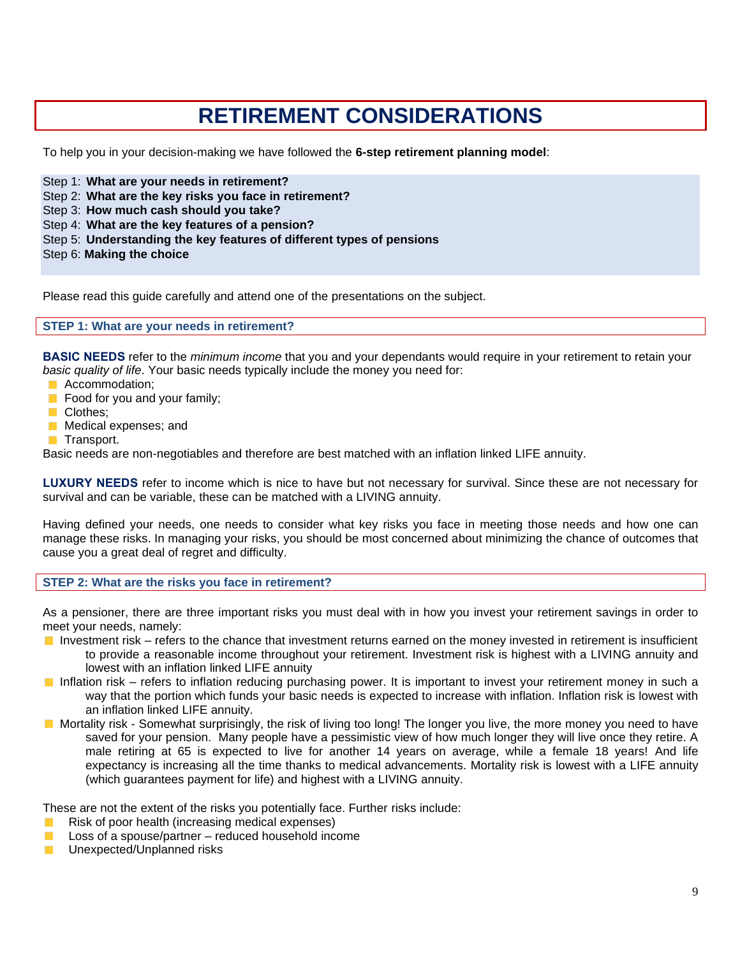### **RETIREMENT CONSIDERATIONS**

To help you in your decision-making we have followed the **6-step retirement planning model**:

Step 1: **What are your needs in retirement?**

- Step 2: **What are the key risks you face in retirement?**
- Step 3: **How much cash should you take?**
- Step 4: **What are the key features of a pension?**
- Step 5: **Understanding the key features of different types of pensions**
- Step 6: **Making the choice**

Please read this guide carefully and attend one of the presentations on the subject.

#### **STEP 1: What are your needs in retirement?**

**BASIC NEEDS** refer to the *minimum income* that you and your dependants would require in your retirement to retain your *basic quality of life*. Your basic needs typically include the money you need for:

- **Accommodation;**
- $\blacksquare$  Food for you and your family;
- Clothes;
- **Medical expenses; and**
- **Transport.**

Basic needs are non-negotiables and therefore are best matched with an inflation linked LIFE annuity.

**LUXURY NEEDS** refer to income which is nice to have but not necessary for survival. Since these are not necessary for survival and can be variable, these can be matched with a LIVING annuity.

Having defined your needs, one needs to consider what key risks you face in meeting those needs and how one can manage these risks. In managing your risks, you should be most concerned about minimizing the chance of outcomes that cause you a great deal of regret and difficulty.

#### **STEP 2: What are the risks you face in retirement?**

As a pensioner, there are three important risks you must deal with in how you invest your retirement savings in order to meet your needs, namely:

- Investment risk refers to the chance that investment returns earned on the money invested in retirement is insufficient to provide a reasonable income throughout your retirement. Investment risk is highest with a LIVING annuity and lowest with an inflation linked LIFE annuity
- Inflation risk refers to inflation reducing purchasing power. It is important to invest your retirement money in such a way that the portion which funds your basic needs is expected to increase with inflation. Inflation risk is lowest with an inflation linked LIFE annuity.
- Mortality risk Somewhat surprisingly, the risk of living too long! The longer you live, the more money you need to have saved for your pension. Many people have a pessimistic view of how much longer they will live once they retire. A male retiring at 65 is expected to live for another 14 years on average, while a female 18 years! And life expectancy is increasing all the time thanks to medical advancements. Mortality risk is lowest with a LIFE annuity (which guarantees payment for life) and highest with a LIVING annuity.

These are not the extent of the risks you potentially face. Further risks include:

- Risk of poor health (increasing medical expenses)
- Loss of a spouse/partner reduced household income **COL**
- Unexpected/Unplanned risksm.